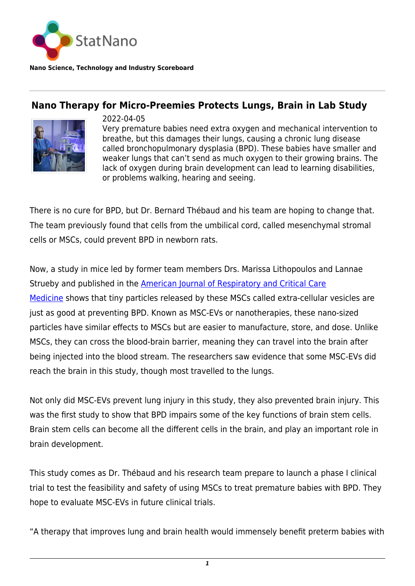

**Nano Science, Technology and Industry Scoreboard**

## **Nano Therapy for Micro-Preemies Protects Lungs, Brain in Lab Study**



2022-04-05 Very premature babies need extra oxygen and mechanical intervention to breathe, but this damages their lungs, causing a chronic lung disease called bronchopulmonary dysplasia (BPD). These babies have smaller and weaker lungs that can't send as much oxygen to their growing brains. The lack of oxygen during brain development can lead to learning disabilities, or problems walking, hearing and seeing.

There is no cure for BPD, but Dr. Bernard Thébaud and his team are hoping to change that. The team previously found that cells from the umbilical cord, called mesenchymal stromal cells or MSCs, could prevent BPD in newborn rats.

Now, a study in mice led by former team members Drs. Marissa Lithopoulos and Lannae Strueby and published in the **American Journal of Respiratory and Critical Care** [Medicine](https://www.atsjournals.org/doi/abs/10.1164/rccm.202012-4520OC) shows that tiny particles released by these MSCs called extra-cellular vesicles are just as good at preventing BPD. Known as MSC-EVs or nanotherapies, these nano-sized particles have similar effects to MSCs but are easier to manufacture, store, and dose. Unlike MSCs, they can cross the blood-brain barrier, meaning they can travel into the brain after being injected into the blood stream. The researchers saw evidence that some MSC-EVs did reach the brain in this study, though most travelled to the lungs.

Not only did MSC-EVs prevent lung injury in this study, they also prevented brain injury. This was the first study to show that BPD impairs some of the key functions of brain stem cells. Brain stem cells can become all the different cells in the brain, and play an important role in brain development.

This study comes as Dr. Thébaud and his research team prepare to launch a phase I clinical trial to test the feasibility and safety of using MSCs to treat premature babies with BPD. They hope to evaluate MSC-EVs in future clinical trials.

"A therapy that improves lung and brain health would immensely benefit preterm babies with